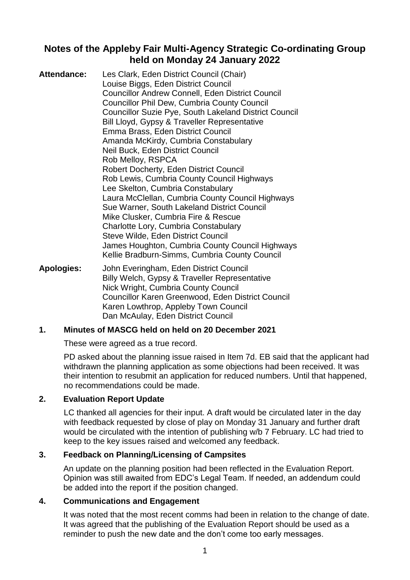## **Notes of the Appleby Fair Multi-Agency Strategic Co-ordinating Group held on Monday 24 January 2022**

| <b>Attendance:</b> | Les Clark, Eden District Council (Chair)<br>Louise Biggs, Eden District Council<br><b>Councillor Andrew Connell, Eden District Council</b><br><b>Councillor Phil Dew, Cumbria County Council</b> |
|--------------------|--------------------------------------------------------------------------------------------------------------------------------------------------------------------------------------------------|
|                    | <b>Councillor Suzie Pye, South Lakeland District Council</b><br>Bill Lloyd, Gypsy & Traveller Representative                                                                                     |
|                    | Emma Brass, Eden District Council                                                                                                                                                                |
|                    | Amanda McKirdy, Cumbria Constabulary                                                                                                                                                             |
|                    | Neil Buck, Eden District Council                                                                                                                                                                 |
|                    | Rob Melloy, RSPCA                                                                                                                                                                                |
|                    | <b>Robert Docherty, Eden District Council</b>                                                                                                                                                    |
|                    | Rob Lewis, Cumbria County Council Highways                                                                                                                                                       |
|                    | Lee Skelton, Cumbria Constabulary                                                                                                                                                                |
|                    | Laura McClellan, Cumbria County Council Highways<br>Sue Warner, South Lakeland District Council                                                                                                  |
|                    | Mike Clusker, Cumbria Fire & Rescue                                                                                                                                                              |
|                    | Charlotte Lory, Cumbria Constabulary                                                                                                                                                             |
|                    | Steve Wilde, Eden District Council<br>James Houghton, Cumbria County Council Highways<br>Kellie Bradburn-Simms, Cumbria County Council                                                           |
|                    |                                                                                                                                                                                                  |

**Apologies:** John Everingham, Eden District Council Billy Welch, Gypsy & Traveller Representative Nick Wright, Cumbria County Council Councillor Karen Greenwood, Eden District Council Karen Lowthrop, Appleby Town Council Dan McAulay, Eden District Council

### **1. Minutes of MASCG held on held on 20 December 2021**

These were agreed as a true record.

PD asked about the planning issue raised in Item 7d. EB said that the applicant had withdrawn the planning application as some objections had been received. It was their intention to resubmit an application for reduced numbers. Until that happened, no recommendations could be made.

#### **2. Evaluation Report Update**

LC thanked all agencies for their input. A draft would be circulated later in the day with feedback requested by close of play on Monday 31 January and further draft would be circulated with the intention of publishing w/b 7 February. LC had tried to keep to the key issues raised and welcomed any feedback.

#### **3. Feedback on Planning/Licensing of Campsites**

An update on the planning position had been reflected in the Evaluation Report. Opinion was still awaited from EDC's Legal Team. If needed, an addendum could be added into the report if the position changed.

#### **4. Communications and Engagement**

It was noted that the most recent comms had been in relation to the change of date. It was agreed that the publishing of the Evaluation Report should be used as a reminder to push the new date and the don't come too early messages.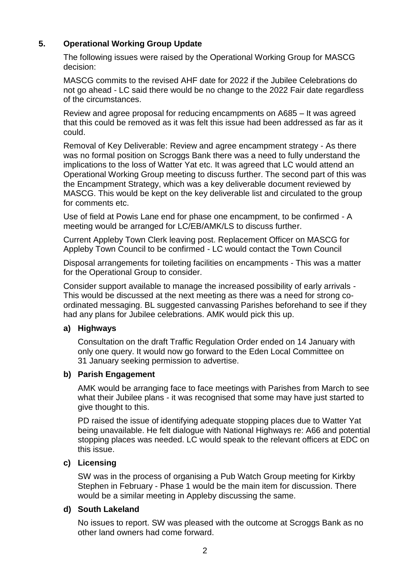## **5. Operational Working Group Update**

The following issues were raised by the Operational Working Group for MASCG decision:

MASCG commits to the revised AHF date for 2022 if the Jubilee Celebrations do not go ahead - LC said there would be no change to the 2022 Fair date regardless of the circumstances.

Review and agree proposal for reducing encampments on A685 – It was agreed that this could be removed as it was felt this issue had been addressed as far as it could.

Removal of Key Deliverable: Review and agree encampment strategy - As there was no formal position on Scroggs Bank there was a need to fully understand the implications to the loss of Watter Yat etc. It was agreed that LC would attend an Operational Working Group meeting to discuss further. The second part of this was the Encampment Strategy, which was a key deliverable document reviewed by MASCG. This would be kept on the key deliverable list and circulated to the group for comments etc.

Use of field at Powis Lane end for phase one encampment, to be confirmed - A meeting would be arranged for LC/EB/AMK/LS to discuss further.

Current Appleby Town Clerk leaving post. Replacement Officer on MASCG for Appleby Town Council to be confirmed - LC would contact the Town Council

Disposal arrangements for toileting facilities on encampments - This was a matter for the Operational Group to consider.

Consider support available to manage the increased possibility of early arrivals - This would be discussed at the next meeting as there was a need for strong coordinated messaging. BL suggested canvassing Parishes beforehand to see if they had any plans for Jubilee celebrations. AMK would pick this up.

#### **a) Highways**

Consultation on the draft Traffic Regulation Order ended on 14 January with only one query. It would now go forward to the Eden Local Committee on 31 January seeking permission to advertise.

#### **b) Parish Engagement**

AMK would be arranging face to face meetings with Parishes from March to see what their Jubilee plans - it was recognised that some may have just started to give thought to this.

PD raised the issue of identifying adequate stopping places due to Watter Yat being unavailable. He felt dialogue with National Highways re: A66 and potential stopping places was needed. LC would speak to the relevant officers at EDC on this issue.

#### **c) Licensing**

SW was in the process of organising a Pub Watch Group meeting for Kirkby Stephen in February - Phase 1 would be the main item for discussion. There would be a similar meeting in Appleby discussing the same.

#### **d) South Lakeland**

No issues to report. SW was pleased with the outcome at Scroggs Bank as no other land owners had come forward.